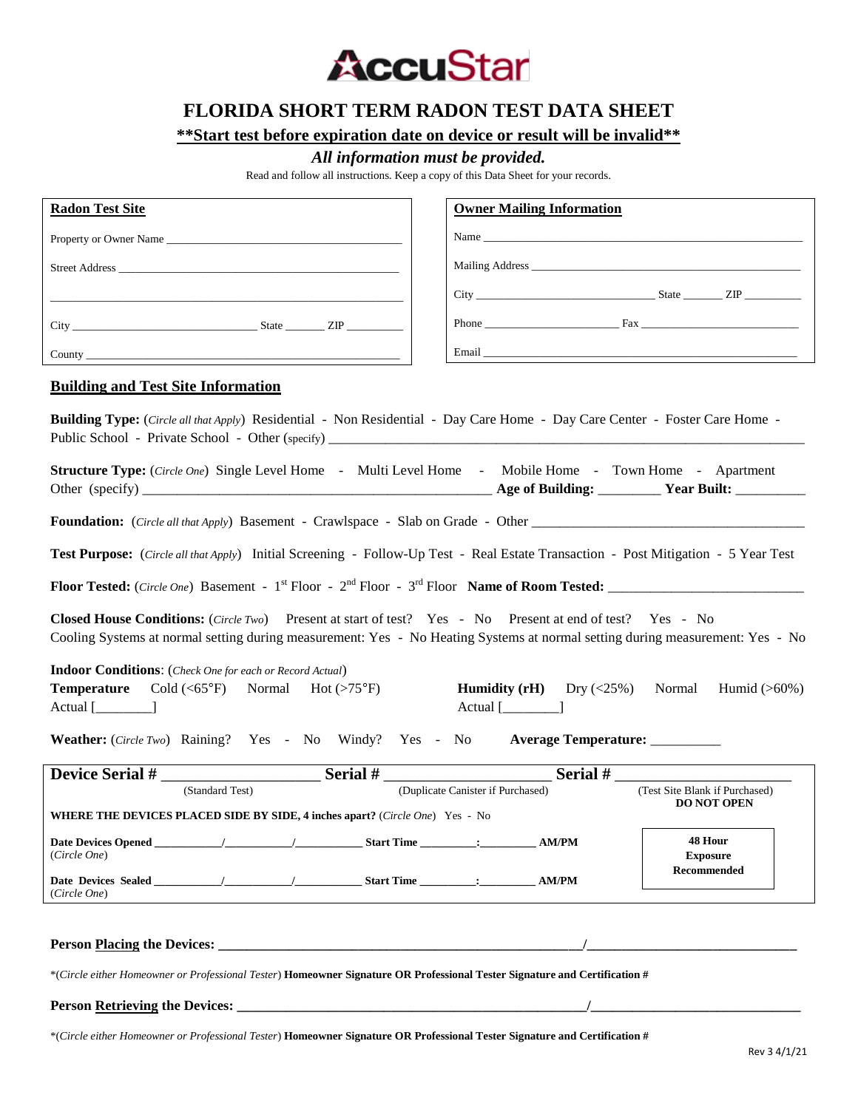

# **FLORIDA SHORT TERM RADON TEST DATA SHEET**

**\*\*Start test before expiration date on device or result will be invalid\*\***

# *All information must be provided.*

Read and follow all instructions. Keep a copy of this Data Sheet for your records.

| <b>Radon Test Site</b>                                                                                                                                                                                                                                                                  | <b>Owner Mailing Information</b>                                                                                                                                                                                               |
|-----------------------------------------------------------------------------------------------------------------------------------------------------------------------------------------------------------------------------------------------------------------------------------------|--------------------------------------------------------------------------------------------------------------------------------------------------------------------------------------------------------------------------------|
|                                                                                                                                                                                                                                                                                         |                                                                                                                                                                                                                                |
|                                                                                                                                                                                                                                                                                         | Mailing Address the contract of the contract of the contract of the contract of the contract of the contract of the contract of the contract of the contract of the contract of the contract of the contract of the contract o |
|                                                                                                                                                                                                                                                                                         |                                                                                                                                                                                                                                |
|                                                                                                                                                                                                                                                                                         |                                                                                                                                                                                                                                |
|                                                                                                                                                                                                                                                                                         |                                                                                                                                                                                                                                |
| <b>Building and Test Site Information</b>                                                                                                                                                                                                                                               |                                                                                                                                                                                                                                |
| <b>Building Type:</b> (Circle all that Apply) Residential - Non Residential - Day Care Home - Day Care Center - Foster Care Home -<br><b>Structure Type:</b> (Circle One) Single Level Home - Multi Level Home - Mobile Home - Town Home - Apartment                                    |                                                                                                                                                                                                                                |
|                                                                                                                                                                                                                                                                                         |                                                                                                                                                                                                                                |
| Test Purpose: (Circle all that Apply) Initial Screening - Follow-Up Test - Real Estate Transaction - Post Mitigation - 5 Year Test                                                                                                                                                      |                                                                                                                                                                                                                                |
|                                                                                                                                                                                                                                                                                         |                                                                                                                                                                                                                                |
| Closed House Conditions: (Circle Two) Present at start of test? Yes - No Present at end of test? Yes - No<br>Cooling Systems at normal setting during measurement: Yes - No Heating Systems at normal setting during measurement: Yes - No                                              |                                                                                                                                                                                                                                |
| <b>Indoor Conditions:</b> (Check One for each or Record Actual)<br><b>Humidity (rH)</b> $Dry \, \langle \langle 25\% \rangle$<br><b>Temperature</b> Cold ( $\langle 65^{\circ}F \rangle$ Normal Hot ( $>75^{\circ}F$ )<br>Normal Humid $(>60\%)$<br>$Actual$ $\lceil$<br>$Actual$ $[\_$ |                                                                                                                                                                                                                                |
| Weather: (Circle Two) Raining? Yes - No Windy? Yes - No<br>Average Temperature: _________                                                                                                                                                                                               |                                                                                                                                                                                                                                |
| $\frac{1}{2}$ Serial $\frac{1}{2}$<br>Device Serial #                                                                                                                                                                                                                                   | Serial #                                                                                                                                                                                                                       |
| (Standard Test)                                                                                                                                                                                                                                                                         | (Test Site Blank if Purchased)<br>(Duplicate Canister if Purchased)<br><b>DO NOT OPEN</b>                                                                                                                                      |
| <b>WHERE THE DEVICES PLACED SIDE BY SIDE, 4 inches apart?</b> (Circle One) Yes - No                                                                                                                                                                                                     |                                                                                                                                                                                                                                |
| (Circle One)                                                                                                                                                                                                                                                                            | 48 Hour<br><b>Exposure</b>                                                                                                                                                                                                     |
| (Circle One)                                                                                                                                                                                                                                                                            | Recommended                                                                                                                                                                                                                    |
| *(Circle either Homeowner or Professional Tester) Homeowner Signature OR Professional Tester Signature and Certification #                                                                                                                                                              |                                                                                                                                                                                                                                |
|                                                                                                                                                                                                                                                                                         |                                                                                                                                                                                                                                |

\*(*Circle either Homeowner or Professional Tester*) **Homeowner Signature OR Professional Tester Signature and Certification #**